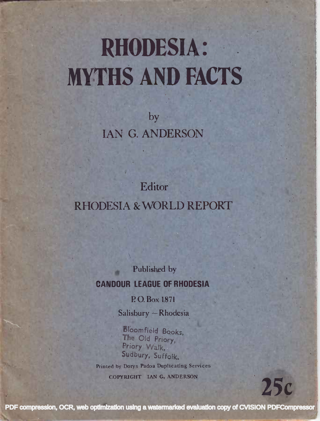# **RHODESIA: MYTHS AND FACTS**

by **IAN G. ANDERSON** 

Editor **RHODESIA & WORLD REPORT** 

> Published by **CANDOUR LEAGUE OF RHODESIA**

> > P.O. Box 1871

Salisbury - Rhodesia

**Bloomfield Books,** The Old Priory, Priory Walk. Sudbury, Suffolk. Printed by Dorys Padoa Duplicating Services COPYRIGHT IAN G, ANDERSON

PDF compression, OCR, web optimization using a watermarked evaluation copy of CVISION PDFCompressor

**25c**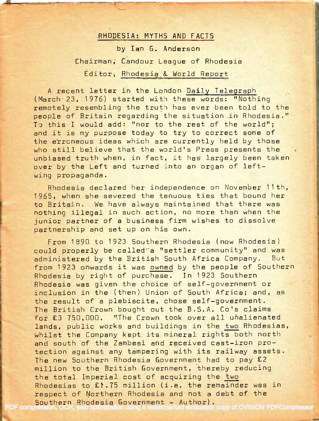# RHODESIA: MYTHS AND FACTS

by Ian G. Anderson

Chairman, Candour League of Rhodesia Editor, Rhodesia & World Report

A recent letter in the London Daily Telegraph (March 23, 1976) started with these words: "Nothing remotely resembling the truth has ever been told to the people of Britain regarding the situation in Rhodesia." To this I would add: "nor to the rest of the world"; and it is my purpose today to try to correct some of the erroneous ideas which are currently held by those who still believe that the world's Press presents the unbiased truth when, in fact, it has largely been taken over by the Left and turned into an organ of leftwing propaganda.

Rhodesia declared her independence on November 11th, 1965, when she severed the tenuous ties that bound her to Britain. We have always maintained that there was nothing illegal in such action, no more than when the junior partner of a business firm wishes to dissolve partnership and set up on his own.

From 1890 to 1923 Southern Rhodesia (now Rhodesia) could properly be called a "settler community" and was administered by the British South Africa Company. But from 1923 onwards it was owned by the people of Southern Rhodesia by right of purchase. In 1923 Southern Rhodesia was given the choice of self-government or inclusion in the (then) Union of South Africa; and, as the result of a plebiscite, chose self-government. The British Crown bought out the B.S.A. Co's claims for £3 750,000. "The Crown took over all unalienated lands, public works and buildings in the two Rhodesias, whilst the Company kept its mineral rights both north and south of the Zambesi and received cast-iron protection against any tampering with its railway assets. The new Southern Rhodesia Government had to pay £2 million to the British Government, thereby reducing the total Imperial cost of acquiring the two Rhodesias to £1.75 million (i.e. the remainder was in respect of Northern Rhodesia and not a debt of the Southern Rhodesia Government - Author).  $\,$  or £3  $\,$  750,000.

[PDF compression, OCR, web optimization using a watermarked evaluation copy of CVISION PDFCompressor](http://www.cvisiontech.com/)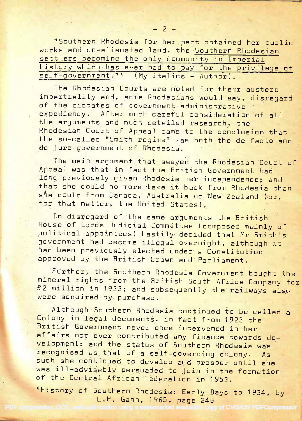"Southern Rhodesia for her part obtained her public r'Southern Rhodesia for her part obtained her public works and un-alienated land, the Southern Rhodesian works and un-alienated 1and, the Southern Rhodesian settlers becoming the only community in Imperial history which has ever had to pay for the privilege of<br>self-government."\* (My italics - Author). <u>"</u>  $\overline{0}$  1 self-government."\* (My italics - Author).

The Rhodesian Courts are noted for their austere The Rhodesian Courts are noted for their austere impartiality and, some Rhodesians would say, disregard of the dictates of government administrative of the dictates of government administrative expediency. After much careful consideration of all  $\qquad$ the arguments and much detailed research, the the arguments and much detailed research, the Rhodesian Court of Appeal came to the conclusion that the so-called "Smith regime" was both the de facto and  $\overline{\phantom{a}}$ de jure government of Rhodesia. de jure government of Rhodesia

The main argument that swayed the Rhodesian Court of Appeal was that in fact the British Government had Appeal- was that in fact the British Government had long previously given Rhodesia her independence; and so t<mark>hat she could no more take it back from Rhodesia than</mark> . she could from Canada, Australia or New Zealand (or, and for that matter, the United States). for that matter, the United States).

In disregard of the same arguments the British  $\blacksquare$ House of Lords Judicial Committee (composed mainly of House of Lords Judicial committee (composed mainlv o f political appointees) hastily decided that Mr Smith's co government had become illegal overnight, although it had been previously elected under a Constitution. approved by the British Crown and Parliament. approved by the British Crown and parliament.

Further, the Southern Rhodesia Government bought the Further, the souihern Rhrdesia Government bought the mineral rights from the British South Africa Company for<br>52 rill:  $\texttt{\&2}$  million in 1933; and subsequently the railways also were acquired by purchase. wete acquired by purchase.

Although Southern Rhodesia continued to be called a Althcugh Southern Rhodesia continued to be call\_ed a Colony in legal documents, in fact from 1923 the Colony in lega1 documents, in fact from 1gZ3 the British Government never once intervened in her British Government never once intervened in her affairs nor ever contributed any finance towards development; and the status of 5outhern Rhodesia was velopment; and the status of southern Rhodesia was recognised as that of a self-governing colony. As such she continued to develop and prosper until she was ill-advisably persuaded to join in the formation of the Central African Federation in 1953.

\*History of Southern Rhodesia: Early Days to 1934, by<br>L.H. Gann, 1965, page 248 L.H. Gann, 1965, page 248

[PDF compression, OCR, web optimization using a watermarked evaluation copy of CVISION PDFCompressor](http://www.cvisiontech.com/)

:::r\a\*;rE-.\_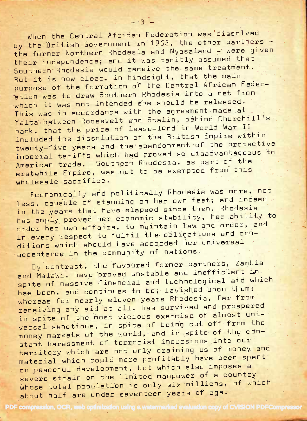When the Central African Federation was dissolved by the British Government in 1963, the other partners the former Northern Rhodesia and Nyasaland - were given their independence; and it was tacitly assumed that Southern Rhodesia would receive the same treatment. But it is now clear, in hindsight, that the main purpose of the formation of the Central African Federation was to draw Southern Rhodesia into a net from which it was not intended she should be released. This was in accordance with the agreement made at Yalta between Roosevelt and Stalin, behind Churchill's back, that the price of lease-lend in World War II included the dissolution of the British Empire within twenty-five years and the abandonment of the protective imperial tariffs which had proved so disadvantageous to American trade. Southern Rhodesia, as part of the erstwhile Empire, was not to be exempted from this wholesale sacrifice.

 $-3^{2}$ 

Economically and politically Rhodesia was more, not less, capable of standing on her own feet; and indeed in the years that have elapsed since then, Rhodesia has amply proved her economic stability, her ability to order her own affairs, to maintain law and order, and in every respect to fulfil the obligations and conditions which should have accorded her universal acceptance in the community of nations.

By contrast, the favoured former partners, Zambia and Malawi, have proved unstable and inefficient in spite of massive financial and technological aid which has been, and continues to be, lavished upon them; whereas for nearly eleven years Rhodesia, far from receiving any aid at all, has survived and prospered in spite of the most vicious exercise of almost universal sanctions, in spite of being cut off from the money markets of the world, and in spite of the constant harassment of terrorist incursions into our territory which are not only draining us of money and material which could more profitably have been spent on peaceful development, but which also imposes a severe strain on the limited manpower of a country whose total population is only six millions, of which about half are under seventeen years of age.

PDF compression, OCR, web optimization using a watermarked evaluation copy of CVISION PDFCompressor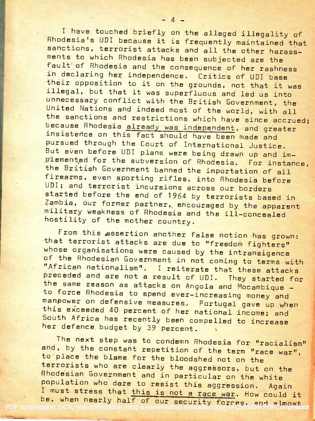I have touched briefly on the alleged illegality of Rhodesia's UDI because it is frequently maintained that Rhodesiars UDI because it is frequently maintained that sanctions, terrorist attacks and all the other harassments to which Rhodesia has been subjected are the ments to which Rhodesia has been subjected are the fault of Rhodesia and the consequence of her rashness fault of Rhodesia and the eonsequenee of her rashness in declaring her independence. Critics of UDI base in declaring her independence. critics of uDI base their opposition to it on the grounds, not that it was<br>illegely but the will be illegal, but that it was superfluous and led us into unnecessary conflict with the British Government, the United Nations and indeed most of the world, with all the sanctions and restrictions which have since accrued; because Rhodesia already was independent, and greater insistence on this fact should have been made and insistence on this fact should have been made and<br>pursued through the Court of International Justice.<br>Put coach of Will But even before UDI plans were being drawn up and im-<br>plemented for the subversion of Rhodesia. For instance,<br>the British Government banned the importation of all<br>firecase internation and the importation of all the British Government banned the importation of all<br>firearms, even sporting rifles, into Rhodesia before<br>UPI: .... UDI; and terrorist incursions across our borders UDI; and terrorist incursions across our borders started before the end of 1964 by terrorists based in a started in the second started in the second started in Zambia, our former partner, encouraged by the apparent<br>military weakness of Rhodesia and the ill-concealed hostility of the mother country. hostility of the mother country. unnecessary conflict with the British Government, the<br>United Nations and indeed most of the world, with all<br>the sanctions and restrictions which have since accrue<br>because Rhodesia <u>already was independent</u>, and greater

from this assertion another false notion has grown:<br>that terrorist attacks are due to "freedom fighters"  $\frac{w}{n}$  organisations were caused by the intransigence of the Rhodesian Government in not coming to terms with preceded and are not a result of UDI. They started for<br>the same reason as attacks on Angola and Mocambique –<br>to force Rhodesia to spend ever-increasing money and<br>manpower on defensive measures. Portugal gave up when<br>this e her defence budget by 39 percent. From this assertion another false notion has grown: "African nationalism", I reiterate that these attacks to force Rhodesia to spend ever-increasing money and South Africa has recently been compelled to increase

The next step was to condemn Rhodesia for "racialism" and, by the constant repetition of the term "race war",<br>to place the blame for the bloodshed not on the terrorists who are clearly the aggressors, but on the Rhodesian Government and in particular on the white<br>population who dere to resist this aggression. Aga population who dare to resist this aggression. Again<br>I must stress that <u>this is not a race war</u>. How could it population who dare to resist this aggression. Again<br>I must stress that this is not a race war. How could it<br>PDF compression, OCR, web optimization using a watermarked evaluation copy of CVISION PDF compression and, by the constant repetition of the term "race war"<br>to place the blame for the bloodshed not on the<br>terrorists who are clearly the aggressors, but on the<br>Rhodesian Government and in particular on the white t on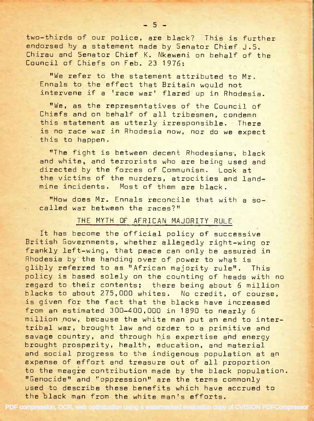two-thirds of our police, are black? This is further endorsed by a statement made by Senator Chief J.S. chirau and Senator Chief K. Nkeweni on behalf of the Council of Chiefs on Feb. 23 1976:

"We refer to the statement attributed to Mr. Ennals to the effect that Britain would not intervene if a 'race war' flared up in Rhodesia.

"We, as the representatives of the Council of Chiefs and on behalf of all tribesmen, condemn this statement as utterly irresponsible. There onis statement as utterly irresponsible. There<br>is no race war in Rhodesia now, nor do we expect this to happen.

"The fight is between decent Rhodesians, black and white, and terrorists who are being used and directed by the forces of Communism. Look at the victims of the murders, atrocities and landmine incidents. Most of them are black.

"How does Mr. Ennals reconcile that with a socalled war between the races?"

## THE MYTH OF AFRICAN MAJORITY RULE

It has become the official policy of successive British Governments, whether allegedly right-wing or frankly left-wing, that peace can only be assured in Rhodesia by the handing over of power to what is glibly referred to as "African majority rule". This policy is based solely on the counting of heads with no regard to their contents; there being about 6 million blacks to about 275,000 whites. No credit, of course, is given for the fact that the blacks have increased from an estimated 300-400,000 in 1890 to nearly 6 million now, because the white man put an end to intertribal war, brought law and order to a primitive and savage country, and through his expertise and energy brought prosperity, health, education, and material and social progress to the indigenous population at an expense of effort and treasure out of all proportion to the meagre contribution made by the black population. "Genocide" and "oppression" are the terms commonly used to describe these benefits which have accrued to the black man from the white man's efforts the black man from the white man's efforts.

PDF compression, OCR, web optimization using a watermarked evaluation copy of CVISION PDFCompressor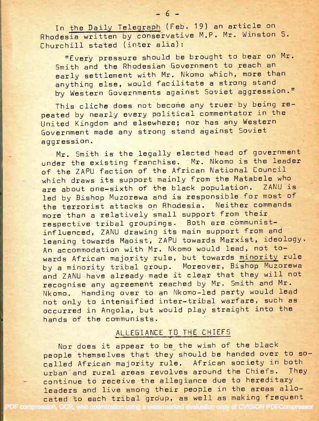In the Daily Telegraph (Feb. 19) an article on Rhodesia written by conservative M.P. Mr. Winston S. Churchill stated (inter alia): Churchill stated (inter alia):

"Every pressure should be brought to bear on Mr.  ${\tt Smith}$  and the Rhodesian Government to reach and  ${\tt m}$ early settlement with Mr. Nkomo which, more than early settlement with Mr. Nkomo which, more than anything else, would facilitate a strong stand and the stand by Western Governments against Soviet aggression."

This cliche does not become any truer by being re-This cliche does not become any truer by being repeated by nearly every political commentator in the peated by nearly every political commentator in the United Kingdom and elsewhere; nor has any Western United Kingdom end elsewhere; nor has any Vdestern Government made any strong stand against Soviet Government made any strong stand against Soviet aggression. aggression.

Mr. Smith is the legallyelected head of government Mr. Smith is the legal1y elected head of government under the existing franchise. Mr. Nkomo is the leader under the existing franchise. Mr. Nkomo is the leader of the ZAPU faction of the African National Council of the 1APU faction of the African National council which draws its support mainly from the Matabele who which draws its support mainly from the Matabele who are about one-sixth of the black population. ZANU is led by Bishop Muzorewa and is responsible for most of contain the terrorist attacks on Rhodesia. Neither commands more than a relatively small support from their more than a relatively small support from their respective tribal groupings. Both are communist-respective tribal- glroupings. Both are communistinfluenced, ZANU drawing its main support from and influenced, ZANU drawing its main support from and leaning towards Maoist, ZAPU towards Marxist, ideology. An accommodation with Mr. Nkomo would lead, not to-An accommodation with Mr. Nkomo would lead, not towards African majority rule, but towards <u>minority</u> rule by a minority tribal group. Moreover, Bishop Muzorewa and ZANU have already made it clear that they will not  $\tt{re$ cognise any agreement reached by Mr. Smith and Mr.  $\tt{or}$ Nkomo. Handing over to an Nkomo-led party would lead not only to intensified inter-tribal warfare, such as such a occurred in Angola, but would play straight into the occurred in Angola, but would play straight into the hands of the communists. hands of the communists.

## ALLEGIANCE TO THE CHIEFS

Nor does it appear to be the wish of the black Nor does it appear to be the wish of the black people themselves that they should be handed over to so-people themselves that they should be handed over to socalled African majority rule. African society in both urban'and rural areas revolves around the Chiefs. They continue to receive the allegiance due to hereditary continue to ieceive the allegiance due to hereditary leaders and live among their people in the areas allo-  $\sim$ cated to each tribal group, as well as making frequent  $\Box$ 

[PDF compression, OCR, web optimization using a watermarked evaluation copy of CVISION PDFCompressor](http://www.cvisiontech.com/)

 $-6-$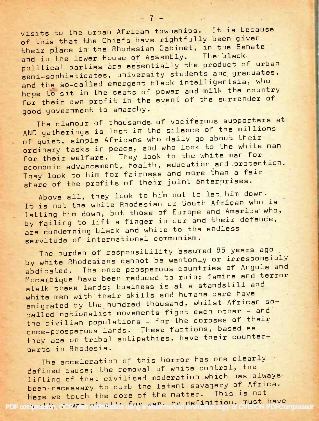visits to the urban African townships. It is because of this that the Chiefs have rightfully been given of this that the Chiefs have rightfully been given their place in the Rhodesian Cabinet, in the Senate and in the lower House of Assembly. The black and in the lower house of Assembly the product of urban pointical partics are essented students and graduates, semi-sophisticates, aniversity statelligentsia, who and the so-called cmargens brack - and milk the country nope to sit in the seass of power of the surrender of good government to anarchy.

The clamour of thousands of vociferous supporters at ANC gatherings is lost in the silence of the millions and yatherings to second who daily go about their ot quiet, simple Allicans and who look to the white man ordinary cases in peace, and to the white man for tor their weildie. They look so the man and protection. pronomic advancement, need by a gain more than a fair share of the profits of their joint enterprises. raruary<br>" quiet,

Above all, they look to him not to let him down. ABOVE 211, they 100% so him hose south African who is It is not the white modesian since and America who, Letting nim down, but those in our and their defence, by railing to in a class complete to the endless servitude of international communism. .

The burden of responsibility assumed 85 years ago by white Rhodesians cannot be wantonly or irresponsibly by white knodesians cannot be wandering of the program and apdicated. The once prosporous sound famine and terror Mocampique Have Been reduced for III, and stalk these lands, business is all and care have white men with their skills and howed whilst African soemigrated by the nandiba sheedshe, and other - and called nationalist movements right to the corpses of their once-prosperous lands. These factions, based as once-prosperous rands: whose recover their counter-<br>they are on tribal antipathies, have their counterparts in Rhodesia. abdicated, nsib<sup>]</sup>

**I** i i I i s E. fl N is ı fi R

E&H x s s E f;

H F H E H ffi E E H Ht F \*H E

The acceleration of this horror has one clearly Ine acceleration of this nerice where the defined cause; the removal of white control, the derined cause; the femoval of moderation which has always Litting of that civilised modelation where the latent savagery of Africa. been necessary to carb and radom being in This is not really a touch the cure of the masses.<br>The estimated at the war, by definition, must have [PDF compression, OCR, web optimization using a watermarked evaluation copy of CVISION PDFCompressor](http://www.cvisiontech.com/)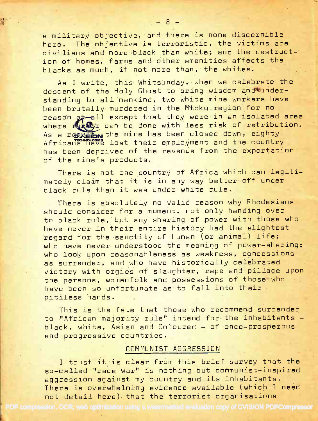a military objective, and there is none discernible a military objective, and there is none discernible here. The objective is terroristic, the victims are here. The objective is terroristic, the victims are civilians and more black than white; and the destruct: ion of homes, farms and other amenities affects the ion of homes, farms and other amenities affects the blacks as much, if not more than, the whites. blacks as much, if not more than, the whites

As I write, this Whitsunday, when we celebrate the As I write, this Whitsunday, when we celebrate the descent of the Holy Ghost to bring wisdom and®understanding to all mankind, two white mine workers have standing to all mankind, two white mine workers have been brutally murdered in the Mtoko region for no state of the reason at all except that they were in an isolated area  $\blacksquare$ where murder can be done with less risk of retribution.  $\blacksquare$ As a resweibn the mine has been closed down, eighty Africans have lost their employment and the country Africans have lost their employment and the country has been deprived of the revenue from the exportation has been deprived of the revenue from the exportation of the mine's products. of the minets products.

There is not one country of Africa which can legiti-There is not one country of Africa which cah legitimately claim that it is in any way better off under mately claim that it is in any way better off under black rule than it was under white rule.

There is absolutely no valid reason why Rhodesians There is absolutely no valid treason why Rhodesians should consider for a moment, not only handing over should consider for a moment, not only handing over to black rule, but any sharing of power with those who have never in their entire history had the slightest have never in their entire history had the slightest regard for the sanctity of human (or animal) life; regard for the sanctity of human (or animal) life; who have never understood the meaning of power-sharing; who have never understood the meaning of power-sharing; who look upon reasonableness as weakness, concessions who look upon reasonableness as weaknesg' concessions as surrender, and who have historically celebrated as surrender, and who have historically celebrated victory with orgies of slaughter, rape and pillage upon victory with orgies of slaughter, rape and pillage upon the persons, womenfolk and possessions of those who we are have been so unfortunate as to fall into their have been so unfortunate as to fall into their pitiless hands. pitiless hands

This is the fate that those who recommend surrender  $\qquad$ to "African majority rule" intend for the inhabitants black, white, Asian and Coloured – of once-prosperous and progressive countries. and progressive countries.

### COMMUNIST AGGRESSION COMMUNIST AGGRESSiON

<sup>I</sup> trust it is clear from this brief survey that the I trust it is clear from this brief survey that the so-called "race war" is nothing but communist-inspired aggression against my country and its inhabitants. aggression against my country and its inhabitants. There is overwhelming evidence available (which I need There is overwhelming evidence avail-able (which I need not detail here) that the terrorist organisations not detail here) tnat the terrorist organisations

[PDF compression, OCR, web optimization using a watermarked evaluation copy of CVISION PDFCompressor](http://www.cvisiontech.com/)

r'!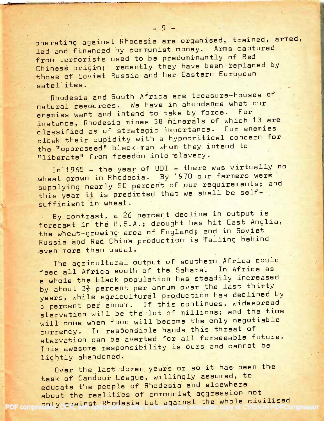operating against Rhodesia are organised, trained, armed, led and financed by communist money. Arms captured from terrorists used to be predominantly of Red Chinese origin; recently they have been replaced by those of Soviet Russia and her Eastern European satellites.

Rhodesia and South Africa are treasure-houses of natural resources. We have in abundance what our enemies want and intend to take by force. For instance, Rhodesia mines 38 minerals of which 13 are classified as of strategic importance. Our enemies cloak their cupidity with a hypocritical concern for the "oppressed" black man whom they intend to "liberate" from freedom into slavery.

In 1965 - the year of UDI - there was virtually no wheat grown in Rhodesia. By 1970 our farmers were supplying nearly 50 percent of our requirements; and this year it is predicted that we shall be selfsufficient in wheat.

By contrast, a 26 percent decline in output is forecast in the U.S.A.; drought has hit East Anglia, the wheat-growing area of England; and in Soviet Russia and Red China production is falling behind even more than usual.

The agricultural output of southern Africa could feed all Africa south of the Sahara. In Africa as a whole the black population has steadily increased by about 3<sup>1</sup> percent per annum over the last thirty years, while agricultural production has declined by 5 percent per annum. If this continues, widespread starvation will be the lot of millions; and the time will come when food will become the only negotiable currency. In responsible hands this threat of starvation can be averted for all forseeable future. This awesome responsibility is ours and cannot be lightly abandoned.

Over the last dozen years or so it has been the task of Candour League, willingly assumed, to educate the people of Rhodesia and elsewhere about the realities of communist aggression not PDF compression yoggeningt Rhodesia but against the whole civilised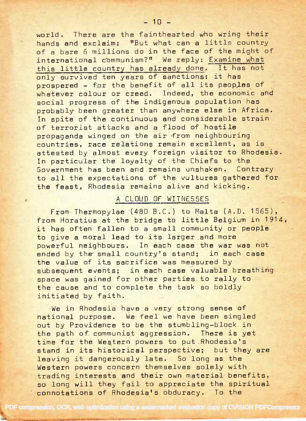world, There are the fainthearted who wring their wortd. There are the fainthearted who wring their hands and exclaim: "But what can a little country when of a bare  $6$  millions do in the face of the might of  $\qquad \qquad$ international communism?" We reply: <u>Examine what</u> this little country has already done. It has not only survived ten years of sanctions: it has prospered – for the benefit of all its peoples of  $\Box$  . whatever colour or creed. Indeed, the economic and whatever colour or creed. social progress of the indigenous population has an indigenous population has probably been greater than anywhere else in Africa. probably been greater than anywhere efse in Africa. In spite of the continuous and considerable strain In spite of the continuous and considerable strain of terrorist attacks and a flood of hostile of terrorist attacks and a flood of hostile propaganda winged on the air from neighbouring propaganda winged on the air'from neighbouring countries, race relations remain excellent, as is attested by almost every foreign visitor to Rhodesia. attested by almost every foreign visitor to Rhodesia. In particular the loyalty of the Chiefs to the Ingles <mark>Government has been and remains unshaken. Contrary contrary</mark> to all the expectations of the vultures gathered for  $\blacksquare$ the feast, Rhodesia remains alive and kicking.

### A CLOUD OF WITNESSES AND LOS

From Thermopylae (480 B.C.) to Malta (A.D. 1565), and the matrix  $\sim$ from Horatius at the bridge to little Belgium in 1914, from Horatius at the bridge to little Eelgium in 1914, it has often fallen to a small community or people  $\qquad$  . to give a moral lead to its larger and more to give a moraf lead to its larger and more powerful neighbours. In each case the war was not powerful neighbours. In each case the war was not ended by the small country's stand; in each case in the small country's stand; the value of its sacrifice was measured by year of the sacrifice was measured by subsequent events; in each case valuable breathing space was gained for other parties to rally to the cause and to complete the task so boldly the cause and to complete the task so boldly initiated by faith. initiated by faith.

We in Rhodesia have a very strong sense of the strong sense national purpose. We feel we have been singled out by Providence to be the stumbling-block in a new contract of  $\sim$ the path of communist aggression. There is yet the path of communist aggression. There is yet time for the Western powers to put Rhodesia's and the Vilesstand in its historical perspective; but they are stand in its historical perspective; but they are leaving it dangerously late. So long as the the solid and the solid and the solid and the solid and the solid Western powers concern themselves solely with Idestern powers concern themselves soleIy with trading interests and their own material benefits, while the set of the set of the set of the set of the set o so long will they fail to appreciate the spiritual  $\qquad \qquad$ connotations of Rhodesia's obduracy. To the connotations of Rhodesiats obduracy. To the

[PDF compression, OCR, web optimization using a watermarked evaluation copy of CVISION PDFCompressor](http://www.cvisiontech.com/)

!e is.j:.::-t::;\*G.\*